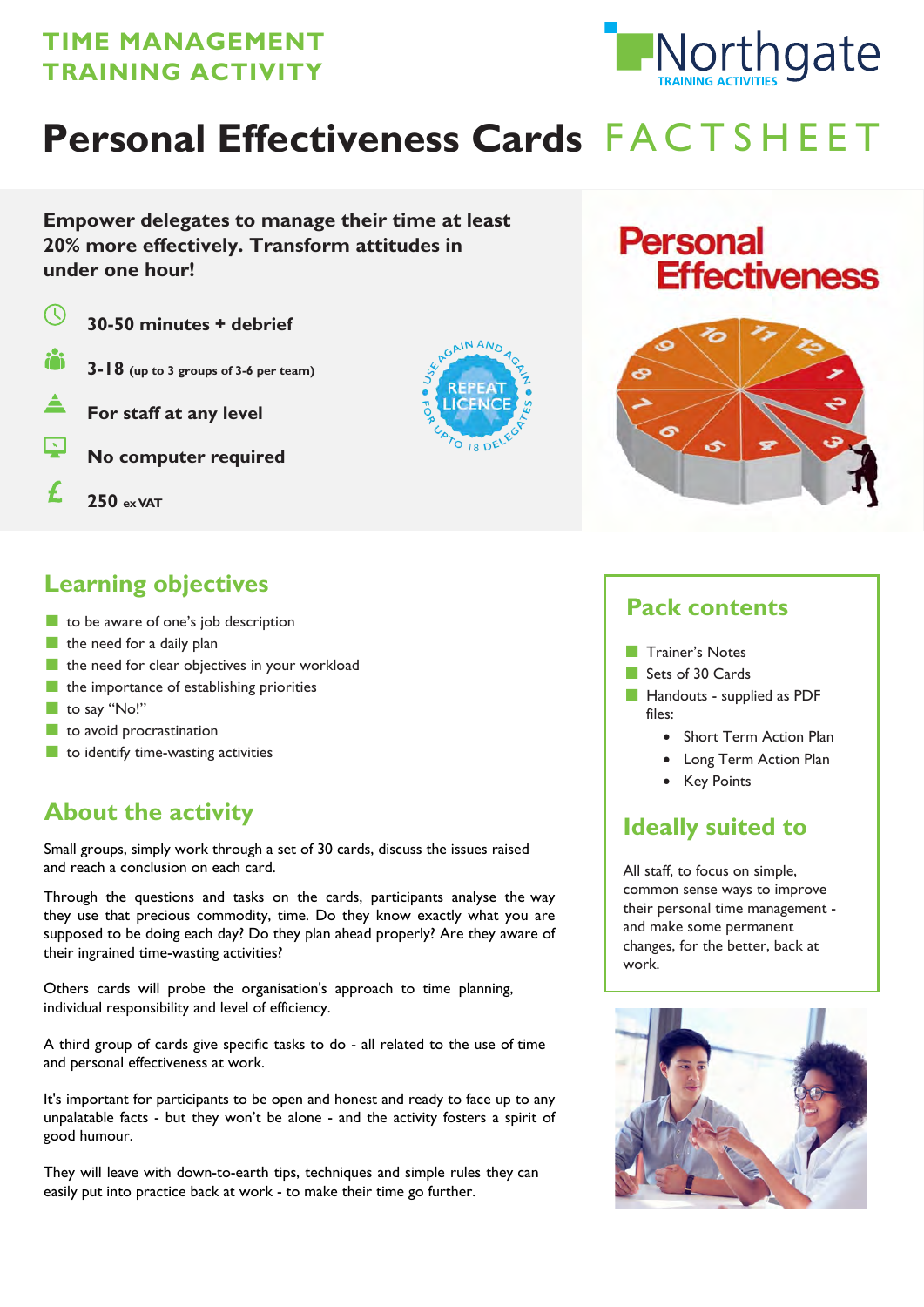## **TIME MANAGEMENT TRAINING ACTIVITY**



# Personal Effectiveness Cards FACTSHEET

**Empower delegates to manage their time at least 20% more effectively. Transform attitudes in under one hour!**

 $\left(\mathbb{Q}\right)$ **30-50 minutes + debrief 3-18 (up to 3 groups of 3-6 per team) For staff at any level No computer required** f **250 ex VAT**



## **Personal Effectiveness**



## **Learning objectives**

- to be aware of one's job description
- $\blacksquare$  the need for a daily plan
- the need for clear objectives in your workload
- the importance of establishing priorities
- to say "No!"
- to avoid procrastination
- to identify time-wasting activities

## **About the activity**

Small groups, simply work through a set of 30 cards, discuss the issues raised and reach a conclusion on each card.

Through the questions and tasks on the cards, participants analyse the way they use that precious commodity, time. Do they know exactly what you are supposed to be doing each day? Do they plan ahead properly? Are they aware of their ingrained time-wasting activities?

Others cards will probe the organisation's approach to time planning, individual responsibility and level of efficiency.

A third group of cards give specific tasks to do - all related to the use of time and personal effectiveness at work.

It's important for participants to be open and honest and ready to face up to any unpalatable facts - but they won't be alone - and the activity fosters a spirit of good humour.

They will leave with down-to-earth tips, techniques and simple rules they can easily put into practice back at work - to make their time go further.

### **Pack contents**

- Trainer's Notes
- Sets of 30 Cards
- Handouts supplied as PDF files:
	- Short Term Action Plan
	- Long Term Action Plan
	- Key Points

## **Ideally suited to**

All staff, to focus on simple, common sense ways to improve their personal time management and make some permanent changes, for the better, back at work.